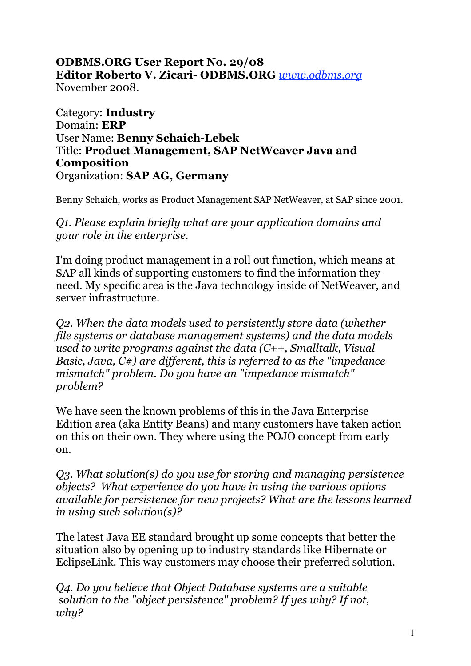## **ODBMS.ORG User Report No. 29/08 Editor Roberto V. Zicari- ODBMS.ORG** *www.odbms.org* November 2008.

Category: **Industry** Domain: **ERP** User Name: **Benny Schaich-Lebek** Title: **Product Management, SAP NetWeaver Java and Composition** Organization: **SAP AG, Germany**

Benny Schaich, works as Product Management SAP NetWeaver, at SAP since 2001.

*Q1. Please explain briefly what are your application domains and your role in the enterprise.*

I'm doing product management in a roll out function, which means at SAP all kinds of supporting customers to find the information they need. My specific area is the Java technology inside of NetWeaver, and server infrastructure.

*Q2. When the data models used to persistently store data (whether file systems or database management systems) and the data models used to write programs against the data (C++, Smalltalk, Visual Basic, Java, C#) are different, this is referred to as the "impedance mismatch" problem. Do you have an "impedance mismatch" problem?*

We have seen the known problems of this in the Java Enterprise Edition area (aka Entity Beans) and many customers have taken action on this on their own. They where using the POJO concept from early on.

*Q3. What solution(s) do you use for storing and managing persistence objects? What experience do you have in using the various options available for persistence for new projects? What are the lessons learned in using such solution(s)?*

The latest Java EE standard brought up some concepts that better the situation also by opening up to industry standards like Hibernate or EclipseLink. This way customers may choose their preferred solution.

*Q4. Do you believe that Object Database systems are a suitable solution to the "object persistence" problem? If yes why? If not, why?*